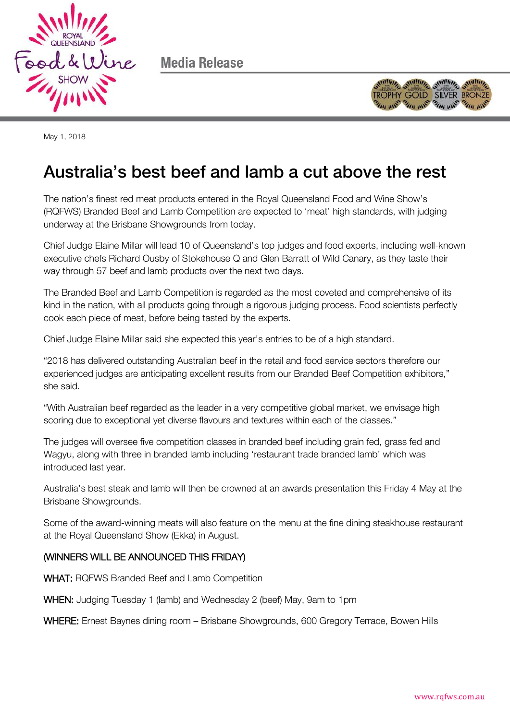

Media Release



May 1, 2018

## Australia's best beef and lamb a cut above the rest Australia's best beef and lamb a cut above the rest

The nation's finest red meat products entered in the Royal Queensland Food and Wine Show's (RQFWS) Branded Beef and Lamb Competition are expected to 'meat' high standards, with judging underway at the Brisbane Showgrounds from today.

Chief Judge Elaine Millar will lead 10 of Queensland's top judges and food experts, including well-known executive chefs Richard Ousby of Stokehouse Q and Glen Barratt of Wild Canary, as they taste their way through 57 beef and lamb products over the next two days.

The Branded Beef and Lamb Competition is regarded as the most coveted and comprehensive of its kind in the nation, with all products going through a rigorous judging process. Food scientists perfectly cook each piece of meat, before being tasted by the experts.

Chief Judge Elaine Millar said she expected this year's entries to be of a high standard.

"2018 has delivered outstanding Australian beef in the retail and food service sectors therefore our experienced judges are anticipating excellent results from our Branded Beef Competition exhibitors," she said.

"With Australian beef regarded as the leader in a very competitive global market, we envisage high scoring due to exceptional yet diverse flavours and textures within each of the classes."

The judges will oversee five competition classes in branded beef including grain fed, grass fed and Wagyu, along with three in branded lamb including 'restaurant trade branded lamb' which was introduced last year.

Australia's best steak and lamb will then be crowned at an awards presentation this Friday 4 May at the Brisbane Showgrounds.

Some of the award-winning meats will also feature on the menu at the fine dining steakhouse restaurant at the Royal Queensland Show (Ekka) in August.

## (WINNERS WILL BE ANNOUNCED THIS FRIDAY)

WHAT: RQFWS Branded Beef and Lamb Competition

WHEN: Judging Tuesday 1 (lamb) and Wednesday 2 (beef) May, 9am to 1pm

WHERE: Ernest Baynes dining room – Brisbane Showgrounds, 600 Gregory Terrace, Bowen Hills